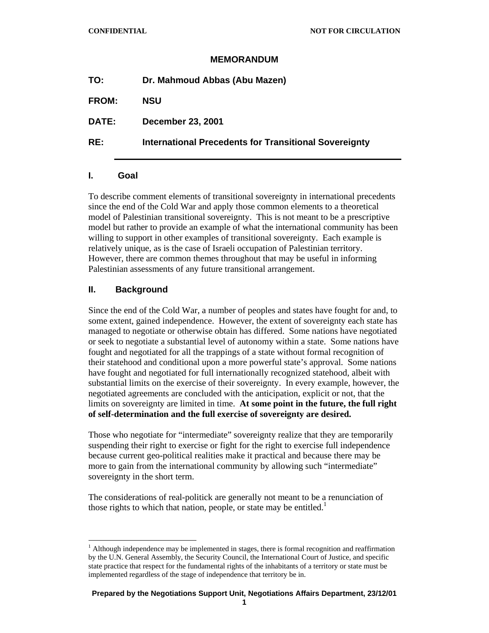## **MEMORANDUM**

| <b>International Precedents for Transitional Sovereignty</b> |
|--------------------------------------------------------------|
|                                                              |

#### **I. Goal**

To describe comment elements of transitional sovereignty in international precedents since the end of the Cold War and apply those common elements to a theoretical model of Palestinian transitional sovereignty. This is not meant to be a prescriptive model but rather to provide an example of what the international community has been willing to support in other examples of transitional sovereignty. Each example is relatively unique, as is the case of Israeli occupation of Palestinian territory. However, there are common themes throughout that may be useful in informing Palestinian assessments of any future transitional arrangement.

# **II. Background**

 $\overline{a}$ 

Since the end of the Cold War, a number of peoples and states have fought for and, to some extent, gained independence. However, the extent of sovereignty each state has managed to negotiate or otherwise obtain has differed. Some nations have negotiated or seek to negotiate a substantial level of autonomy within a state. Some nations have fought and negotiated for all the trappings of a state without formal recognition of their statehood and conditional upon a more powerful state's approval. Some nations have fought and negotiated for full internationally recognized statehood, albeit with substantial limits on the exercise of their sovereignty. In every example, however, the negotiated agreements are concluded with the anticipation, explicit or not, that the limits on sovereignty are limited in time. **At some point in the future, the full right of self-determination and the full exercise of sovereignty are desired.**

Those who negotiate for "intermediate" sovereignty realize that they are temporarily suspending their right to exercise or fight for the right to exercise full independence because current geo-political realities make it practical and because there may be more to gain from the international community by allowing such "intermediate" sovereignty in the short term.

The considerations of real-politick are generally not meant to be a renunciation of those rights to which that nation, people, or state may be entitled.<sup>1</sup>

<sup>1</sup> Although independence may be implemented in stages, there is formal recognition and reaffirmation by the U.N. General Assembly, the Security Council, the International Court of Justice, and specific state practice that respect for the fundamental rights of the inhabitants of a territory or state must be implemented regardless of the stage of independence that territory be in.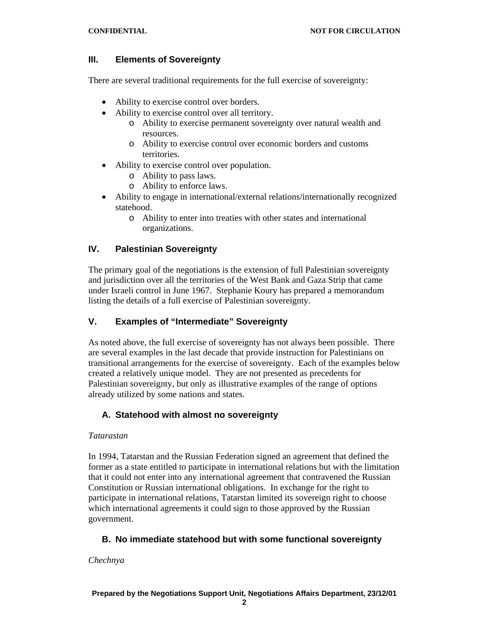# **III. Elements of Sovereignty**

There are several traditional requirements for the full exercise of sovereignty:

- Ability to exercise control over borders.
- Ability to exercise control over all territory.
	- o Ability to exercise permanent sovereignty over natural wealth and resources.
	- o Ability to exercise control over economic borders and customs territories.
- Ability to exercise control over population.
	- o Ability to pass laws.
	- o Ability to enforce laws.
- Ability to engage in international/external relations/internationally recognized statehood.
	- o Ability to enter into treaties with other states and international organizations.

# **IV. Palestinian Sovereignty**

The primary goal of the negotiations is the extension of full Palestinian sovereignty and jurisdiction over all the territories of the West Bank and Gaza Strip that came under Israeli control in June 1967. Stephanie Koury has prepared a memorandum listing the details of a full exercise of Palestinian sovereignty.

# **V. Examples of "Intermediate" Sovereignty**

As noted above, the full exercise of sovereignty has not always been possible. There are several examples in the last decade that provide instruction for Palestinians on transitional arrangements for the exercise of sovereignty. Each of the examples below created a relatively unique model. They are not presented as precedents for Palestinian sovereignty, but only as illustrative examples of the range of options already utilized by some nations and states.

# **A. Statehood with almost no sovereignty**

## *Tatarastan*

In 1994, Tatarstan and the Russian Federation signed an agreement that defined the former as a state entitled to participate in international relations but with the limitation that it could not enter into any international agreement that contravened the Russian Constitution or Russian international obligations. In exchange for the right to participate in international relations, Tatarstan limited its sovereign right to choose which international agreements it could sign to those approved by the Russian government.

# **B. No immediate statehood but with some functional sovereignty**

*Chechnya*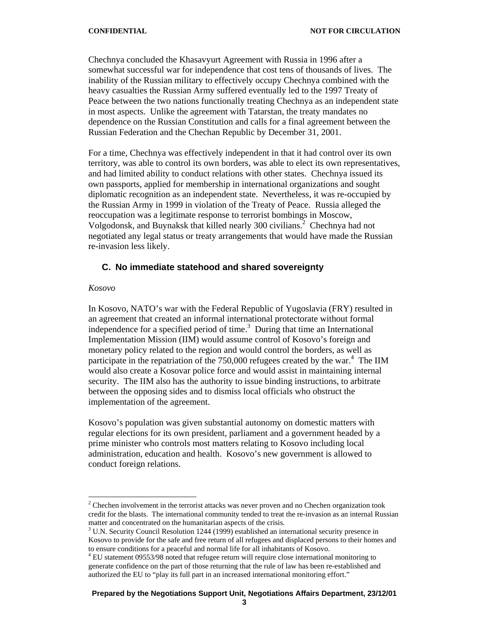Chechnya concluded the Khasavyurt Agreement with Russia in 1996 after a somewhat successful war for independence that cost tens of thousands of lives. The inability of the Russian military to effectively occupy Chechnya combined with the heavy casualties the Russian Army suffered eventually led to the 1997 Treaty of Peace between the two nations functionally treating Chechnya as an independent state in most aspects. Unlike the agreement with Tatarstan, the treaty mandates no dependence on the Russian Constitution and calls for a final agreement between the Russian Federation and the Chechan Republic by December 31, 2001.

For a time, Chechnya was effectively independent in that it had control over its own territory, was able to control its own borders, was able to elect its own representatives, and had limited ability to conduct relations with other states. Chechnya issued its own passports, applied for membership in international organizations and sought diplomatic recognition as an independent state. Nevertheless, it was re-occupied by the Russian Army in 1999 in violation of the Treaty of Peace. Russia alleged the reoccupation was a legitimate response to terrorist bombings in Moscow, Volgodonsk, and Buynaksk that killed nearly 300 civilians.<sup>2</sup> Chechnya had not negotiated any legal status or treaty arrangements that would have made the Russian re-invasion less likely.

## **C. No immediate statehood and shared sovereignty**

#### *Kosovo*

 $\overline{a}$ 

In Kosovo, NATO's war with the Federal Republic of Yugoslavia (FRY) resulted in an agreement that created an informal international protectorate without formal independence for a specified period of time. $3$  During that time an International Implementation Mission (IIM) would assume control of Kosovo's foreign and monetary policy related to the region and would control the borders, as well as participate in the repatriation of the  $750,000$  refugees created by the war.<sup>4</sup> The IIM would also create a Kosovar police force and would assist in maintaining internal security. The IIM also has the authority to issue binding instructions, to arbitrate between the opposing sides and to dismiss local officials who obstruct the implementation of the agreement.

Kosovo's population was given substantial autonomy on domestic matters with regular elections for its own president, parliament and a government headed by a prime minister who controls most matters relating to Kosovo including local administration, education and health. Kosovo's new government is allowed to conduct foreign relations.

 $2^2$  Chechen involvement in the terrorist attacks was never proven and no Chechen organization took credit for the blasts. The international community tended to treat the re-invasion as an internal Russian matter and concentrated on the humanitarian aspects of the crisis.

 $3$  U.N. Security Council Resolution 1244 (1999) established an international security presence in Kosovo to provide for the safe and free return of all refugees and displaced persons to their homes and to ensure conditions for a peaceful and normal life for all inhabitants of Kosovo.

<sup>&</sup>lt;sup>4</sup> EU statement 09553/98 noted that refugee return will require close international monitoring to generate confidence on the part of those returning that the rule of law has been re-established and authorized the EU to "play its full part in an increased international monitoring effort."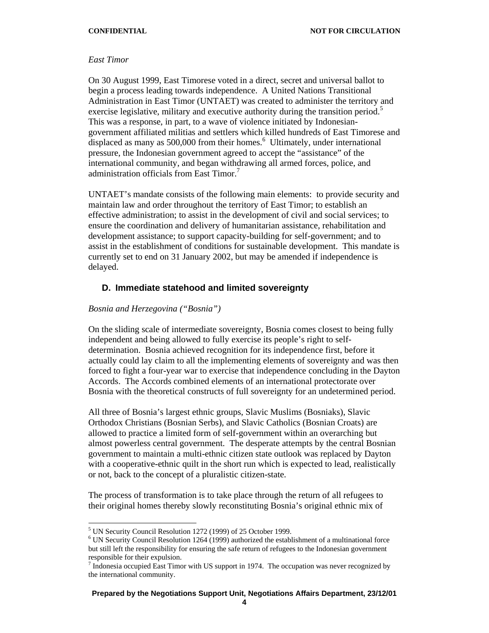#### *East Timor*

On 30 August 1999, East Timorese voted in a direct, secret and universal ballot to begin a process leading towards independence. A United Nations Transitional Administration in East Timor (UNTAET) was created to administer the territory and exercise legislative, military and executive authority during the transition period.<sup>5</sup> This was a response, in part, to a wave of violence initiated by Indonesiangovernment affiliated militias and settlers which killed hundreds of East Timorese and displaced as many as  $500,000$  from their homes.<sup>6</sup> Ultimately, under international pressure, the Indonesian government agreed to accept the "assistance" of the international community, and began withdrawing all armed forces, police, and administration officials from East Timor.<sup>7</sup>

UNTAET's mandate consists of the following main elements: to provide security and maintain law and order throughout the territory of East Timor; to establish an effective administration; to assist in the development of civil and social services; to ensure the coordination and delivery of humanitarian assistance, rehabilitation and development assistance; to support capacity-building for self-government; and to assist in the establishment of conditions for sustainable development. This mandate is currently set to end on 31 January 2002, but may be amended if independence is delayed.

#### **D. Immediate statehood and limited sovereignty**

#### *Bosnia and Herzegovina ("Bosnia")*

On the sliding scale of intermediate sovereignty, Bosnia comes closest to being fully independent and being allowed to fully exercise its people's right to selfdetermination. Bosnia achieved recognition for its independence first, before it actually could lay claim to all the implementing elements of sovereignty and was then forced to fight a four-year war to exercise that independence concluding in the Dayton Accords. The Accords combined elements of an international protectorate over Bosnia with the theoretical constructs of full sovereignty for an undetermined period.

All three of Bosnia's largest ethnic groups, Slavic Muslims (Bosniaks), Slavic Orthodox Christians (Bosnian Serbs), and Slavic Catholics (Bosnian Croats) are allowed to practice a limited form of self-government within an overarching but almost powerless central government. The desperate attempts by the central Bosnian government to maintain a multi-ethnic citizen state outlook was replaced by Dayton with a cooperative-ethnic quilt in the short run which is expected to lead, realistically or not, back to the concept of a pluralistic citizen-state.

The process of transformation is to take place through the return of all refugees to their original homes thereby slowly reconstituting Bosnia's original ethnic mix of

l

<sup>&</sup>lt;sup>5</sup> UN Security Council Resolution 1272 (1999) of 25 October 1999.

<sup>&</sup>lt;sup>6</sup> UN Security Council Resolution 1264 (1999) authorized the establishment of a multinational force but still left the responsibility for ensuring the safe return of refugees to the Indonesian government responsible for their expulsion.

 $\frac{7}{10}$  Indonesia occupied East Timor with US support in 1974. The occupation was never recognized by the international community.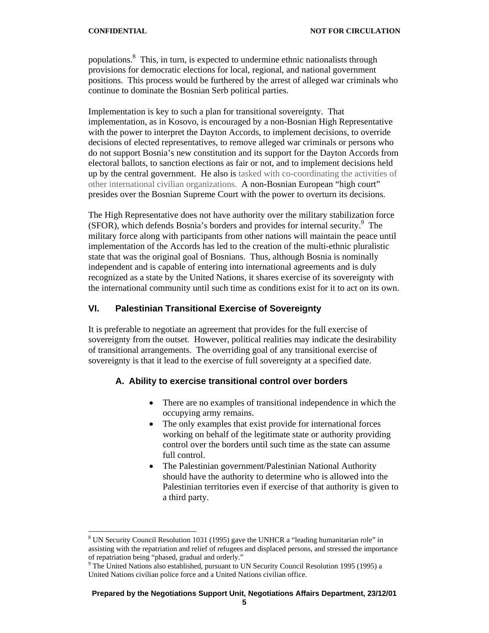populations.<sup>8</sup> This, in turn, is expected to undermine ethnic nationalists through provisions for democratic elections for local, regional, and national government positions. This process would be furthered by the arrest of alleged war criminals who continue to dominate the Bosnian Serb political parties.

Implementation is key to such a plan for transitional sovereignty. That implementation, as in Kosovo, is encouraged by a non-Bosnian High Representative with the power to interpret the Dayton Accords, to implement decisions, to override decisions of elected representatives, to remove alleged war criminals or persons who do not support Bosnia's new constitution and its support for the Dayton Accords from electoral ballots, to sanction elections as fair or not, and to implement decisions held up by the central government. He also is tasked with co-coordinating the activities of other international civilian organizations. A non-Bosnian European "high court" presides over the Bosnian Supreme Court with the power to overturn its decisions.

The High Representative does not have authority over the military stabilization force (SFOR), which defends Bosnia's borders and provides for internal security.<sup>9</sup> The military force along with participants from other nations will maintain the peace until implementation of the Accords has led to the creation of the multi-ethnic pluralistic state that was the original goal of Bosnians. Thus, although Bosnia is nominally independent and is capable of entering into international agreements and is duly recognized as a state by the United Nations, it shares exercise of its sovereignty with the international community until such time as conditions exist for it to act on its own.

# **VI. Palestinian Transitional Exercise of Sovereignty**

It is preferable to negotiate an agreement that provides for the full exercise of sovereignty from the outset. However, political realities may indicate the desirability of transitional arrangements. The overriding goal of any transitional exercise of sovereignty is that it lead to the exercise of full sovereignty at a specified date.

## **A. Ability to exercise transitional control over borders**

- There are no examples of transitional independence in which the occupying army remains.
- The only examples that exist provide for international forces working on behalf of the legitimate state or authority providing control over the borders until such time as the state can assume full control.
- The Palestinian government/Palestinian National Authority should have the authority to determine who is allowed into the Palestinian territories even if exercise of that authority is given to a third party.

 $\overline{a}$ <sup>8</sup> UN Security Council Resolution 1031 (1995) gave the UNHCR a "leading humanitarian role" in assisting with the repatriation and relief of refugees and displaced persons, and stressed the importance of repatriation being "phased, gradual and orderly."

<sup>&</sup>lt;sup>9</sup> The United Nations also established, pursuant to UN Security Council Resolution 1995 (1995) a United Nations civilian police force and a United Nations civilian office.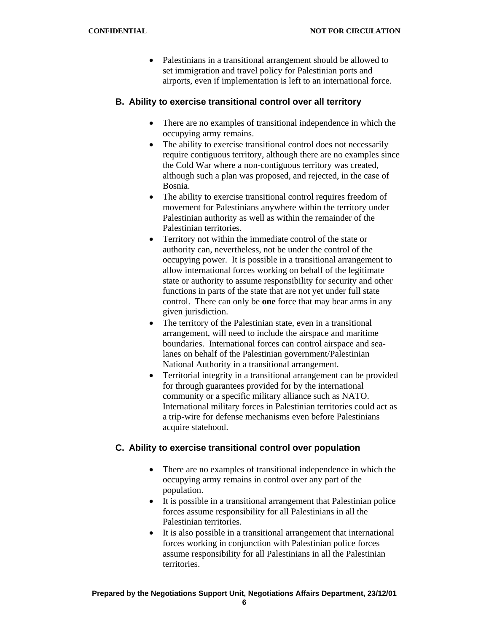• Palestinians in a transitional arrangement should be allowed to set immigration and travel policy for Palestinian ports and airports, even if implementation is left to an international force.

## **B. Ability to exercise transitional control over all territory**

- There are no examples of transitional independence in which the occupying army remains.
- The ability to exercise transitional control does not necessarily require contiguous territory, although there are no examples since the Cold War where a non-contiguous territory was created, although such a plan was proposed, and rejected, in the case of Bosnia.
- The ability to exercise transitional control requires freedom of movement for Palestinians anywhere within the territory under Palestinian authority as well as within the remainder of the Palestinian territories.
- Territory not within the immediate control of the state or authority can, nevertheless, not be under the control of the occupying power. It is possible in a transitional arrangement to allow international forces working on behalf of the legitimate state or authority to assume responsibility for security and other functions in parts of the state that are not yet under full state control. There can only be **one** force that may bear arms in any given jurisdiction.
- The territory of the Palestinian state, even in a transitional arrangement, will need to include the airspace and maritime boundaries. International forces can control airspace and sealanes on behalf of the Palestinian government/Palestinian National Authority in a transitional arrangement.
- Territorial integrity in a transitional arrangement can be provided for through guarantees provided for by the international community or a specific military alliance such as NATO. International military forces in Palestinian territories could act as a trip-wire for defense mechanisms even before Palestinians acquire statehood.

# **C. Ability to exercise transitional control over population**

- There are no examples of transitional independence in which the occupying army remains in control over any part of the population.
- It is possible in a transitional arrangement that Palestinian police forces assume responsibility for all Palestinians in all the Palestinian territories.
- It is also possible in a transitional arrangement that international forces working in conjunction with Palestinian police forces assume responsibility for all Palestinians in all the Palestinian territories.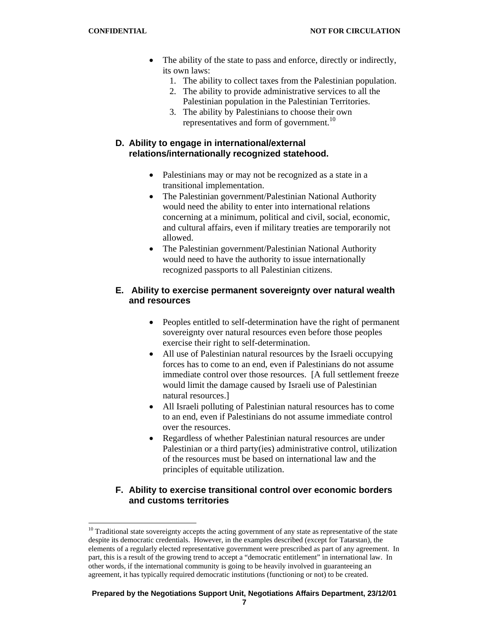- The ability of the state to pass and enforce, directly or indirectly, its own laws:
	- 1. The ability to collect taxes from the Palestinian population.
	- 2. The ability to provide administrative services to all the Palestinian population in the Palestinian Territories.
	- 3. The ability by Palestinians to choose their own representatives and form of government.<sup>10</sup>

# **D. Ability to engage in international/external relations/internationally recognized statehood.**

- Palestinians may or may not be recognized as a state in a transitional implementation.
- The Palestinian government/Palestinian National Authority would need the ability to enter into international relations concerning at a minimum, political and civil, social, economic, and cultural affairs, even if military treaties are temporarily not allowed.
- The Palestinian government/Palestinian National Authority would need to have the authority to issue internationally recognized passports to all Palestinian citizens.

# **E. Ability to exercise permanent sovereignty over natural wealth and resources**

- Peoples entitled to self-determination have the right of permanent sovereignty over natural resources even before those peoples exercise their right to self-determination.
- All use of Palestinian natural resources by the Israeli occupying forces has to come to an end, even if Palestinians do not assume immediate control over those resources. [A full settlement freeze would limit the damage caused by Israeli use of Palestinian natural resources.]
- All Israeli polluting of Palestinian natural resources has to come to an end, even if Palestinians do not assume immediate control over the resources.
- Regardless of whether Palestinian natural resources are under Palestinian or a third party(ies) administrative control, utilization of the resources must be based on international law and the principles of equitable utilization.

# **F. Ability to exercise transitional control over economic borders and customs territories**

#### **Prepared by the Negotiations Support Unit, Negotiations Affairs Department, 23/12/01**

l <sup>10</sup> Traditional state sovereignty accepts the acting government of any state as representative of the state despite its democratic credentials. However, in the examples described (except for Tatarstan), the elements of a regularly elected representative government were prescribed as part of any agreement. In part, this is a result of the growing trend to accept a "democratic entitlement" in international law. In other words, if the international community is going to be heavily involved in guaranteeing an agreement, it has typically required democratic institutions (functioning or not) to be created.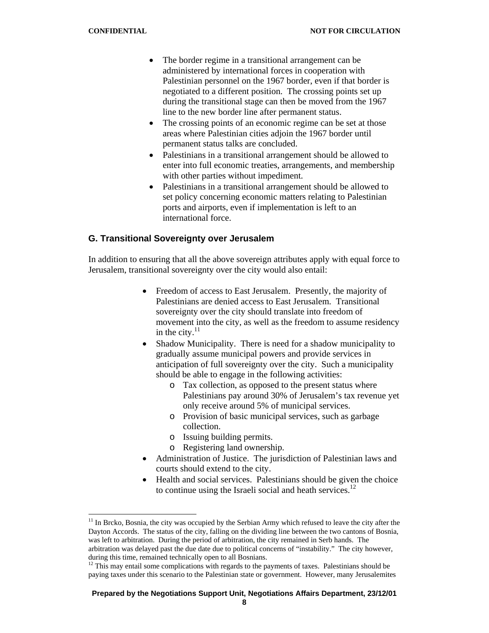l

- The border regime in a transitional arrangement can be administered by international forces in cooperation with Palestinian personnel on the 1967 border, even if that border is negotiated to a different position. The crossing points set up during the transitional stage can then be moved from the 1967 line to the new border line after permanent status.
- The crossing points of an economic regime can be set at those areas where Palestinian cities adjoin the 1967 border until permanent status talks are concluded.
- Palestinians in a transitional arrangement should be allowed to enter into full economic treaties, arrangements, and membership with other parties without impediment.
- Palestinians in a transitional arrangement should be allowed to set policy concerning economic matters relating to Palestinian ports and airports, even if implementation is left to an international force.

# **G. Transitional Sovereignty over Jerusalem**

In addition to ensuring that all the above sovereign attributes apply with equal force to Jerusalem, transitional sovereignty over the city would also entail:

- Freedom of access to East Jerusalem. Presently, the majority of Palestinians are denied access to East Jerusalem. Transitional sovereignty over the city should translate into freedom of movement into the city, as well as the freedom to assume residency in the city. $^{11}$
- Shadow Municipality. There is need for a shadow municipality to gradually assume municipal powers and provide services in anticipation of full sovereignty over the city. Such a municipality should be able to engage in the following activities:
	- o Tax collection, as opposed to the present status where Palestinians pay around 30% of Jerusalem's tax revenue yet only receive around 5% of municipal services.
	- o Provision of basic municipal services, such as garbage collection.
	- o Issuing building permits.
	- o Registering land ownership.
- Administration of Justice. The jurisdiction of Palestinian laws and courts should extend to the city.
- Health and social services. Palestinians should be given the choice to continue using the Israeli social and heath services.<sup>12</sup>

#### **Prepared by the Negotiations Support Unit, Negotiations Affairs Department, 23/12/01**

 $11$  In Brcko, Bosnia, the city was occupied by the Serbian Army which refused to leave the city after the Dayton Accords. The status of the city, falling on the dividing line between the two cantons of Bosnia, was left to arbitration. During the period of arbitration, the city remained in Serb hands. The arbitration was delayed past the due date due to political concerns of "instability." The city however, during this time, remained technically open to all Bosnians.

 $12$  This may entail some complications with regards to the payments of taxes. Palestinians should be paying taxes under this scenario to the Palestinian state or government. However, many Jerusalemites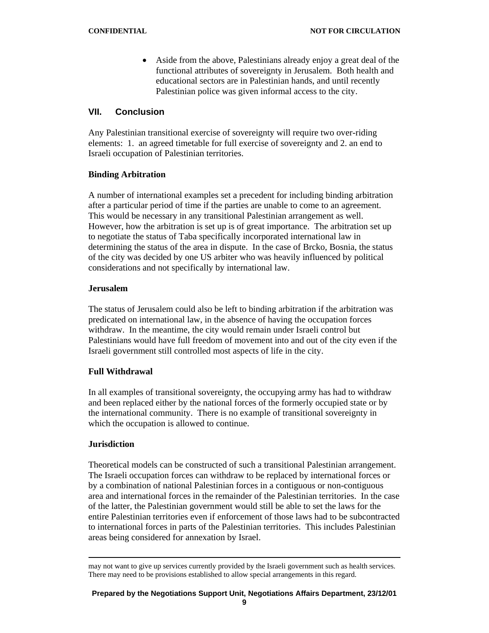• Aside from the above, Palestinians already enjoy a great deal of the functional attributes of sovereignty in Jerusalem. Both health and educational sectors are in Palestinian hands, and until recently Palestinian police was given informal access to the city.

## **VII. Conclusion**

Any Palestinian transitional exercise of sovereignty will require two over-riding elements: 1. an agreed timetable for full exercise of sovereignty and 2. an end to Israeli occupation of Palestinian territories.

## **Binding Arbitration**

A number of international examples set a precedent for including binding arbitration after a particular period of time if the parties are unable to come to an agreement. This would be necessary in any transitional Palestinian arrangement as well. However, how the arbitration is set up is of great importance. The arbitration set up to negotiate the status of Taba specifically incorporated international law in determining the status of the area in dispute. In the case of Brcko, Bosnia, the status of the city was decided by one US arbiter who was heavily influenced by political considerations and not specifically by international law.

#### **Jerusalem**

The status of Jerusalem could also be left to binding arbitration if the arbitration was predicated on international law, in the absence of having the occupation forces withdraw. In the meantime, the city would remain under Israeli control but Palestinians would have full freedom of movement into and out of the city even if the Israeli government still controlled most aspects of life in the city.

## **Full Withdrawal**

In all examples of transitional sovereignty, the occupying army has had to withdraw and been replaced either by the national forces of the formerly occupied state or by the international community. There is no example of transitional sovereignty in which the occupation is allowed to continue.

## **Jurisdiction**

Theoretical models can be constructed of such a transitional Palestinian arrangement. The Israeli occupation forces can withdraw to be replaced by international forces or by a combination of national Palestinian forces in a contiguous or non-contiguous area and international forces in the remainder of the Palestinian territories. In the case of the latter, the Palestinian government would still be able to set the laws for the entire Palestinian territories even if enforcement of those laws had to be subcontracted to international forces in parts of the Palestinian territories. This includes Palestinian areas being considered for annexation by Israel.

may not want to give up services currently provided by the Israeli government such as health services. There may need to be provisions established to allow special arrangements in this regard.